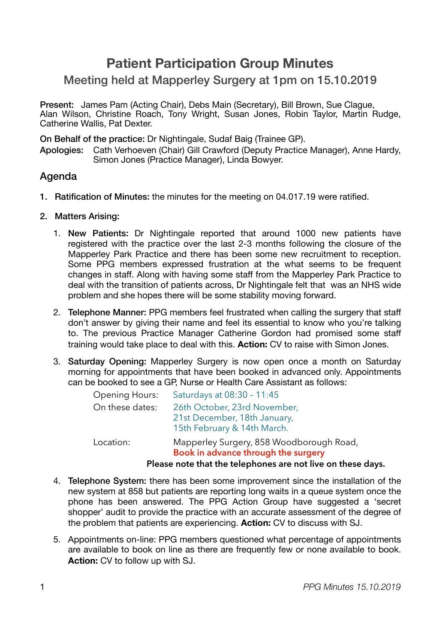# **Patient Participation Group Minutes**

# Meeting held at Mapperley Surgery at 1pm on 15.10.2019

Present: James Pam (Acting Chair), Debs Main (Secretary), Bill Brown, Sue Clague, Alan Wilson, Christine Roach, Tony Wright, Susan Jones, Robin Taylor, Martin Rudge, Catherine Wallis, Pat Dexter.

On Behalf of the practice: Dr Nightingale, Sudaf Baig (Trainee GP).

Apologies: Cath Verhoeven (Chair) Gill Crawford (Deputy Practice Manager), Anne Hardy, Simon Jones (Practice Manager), Linda Bowyer. 

# Agenda

- 1. Ratification of Minutes: the minutes for the meeting on 04.017.19 were ratified.
- 2. Matters Arising:
	- 1. New Patients: Dr Nightingale reported that around 1000 new patients have registered with the practice over the last 2-3 months following the closure of the Mapperley Park Practice and there has been some new recruitment to reception. Some PPG members expressed frustration at the what seems to be frequent changes in staff. Along with having some staff from the Mapperley Park Practice to deal with the transition of patients across, Dr Nightingale felt that was an NHS wide problem and she hopes there will be some stability moving forward.
	- 2. Telephone Manner: PPG members feel frustrated when calling the surgery that staff don't answer by giving their name and feel its essential to know who you're talking to. The previous Practice Manager Catherine Gordon had promised some staff training would take place to deal with this. **Action:** CV to raise with Simon Jones.
	- 3. Saturday Opening: Mapperley Surgery is now open once a month on Saturday morning for appointments that have been booked in advanced only. Appointments can be booked to see a GP, Nurse or Health Care Assistant as follows:

| Location:             | Mapperley Surgery, 858 Woodborough Road,<br>Book in advance through the surgery<br>Please note that the telephones are not live on these days. |
|-----------------------|------------------------------------------------------------------------------------------------------------------------------------------------|
|                       |                                                                                                                                                |
|                       | 21st December, 18th January,<br>15th February & 14th March.                                                                                    |
| On these dates:       | 26th October, 23rd November,                                                                                                                   |
| <b>Opening Hours:</b> | Saturdays at 08:30 - 11:45                                                                                                                     |

- 4. Telephone System: there has been some improvement since the installation of the new system at 858 but patients are reporting long waits in a queue system once the phone has been answered. The PPG Action Group have suggested a 'secret shopper' audit to provide the practice with an accurate assessment of the degree of the problem that patients are experiencing. **Action:** CV to discuss with SJ.
- 5. Appointments on-line: PPG members questioned what percentage of appointments are available to book on line as there are frequently few or none available to book. **Action:** CV to follow up with SJ.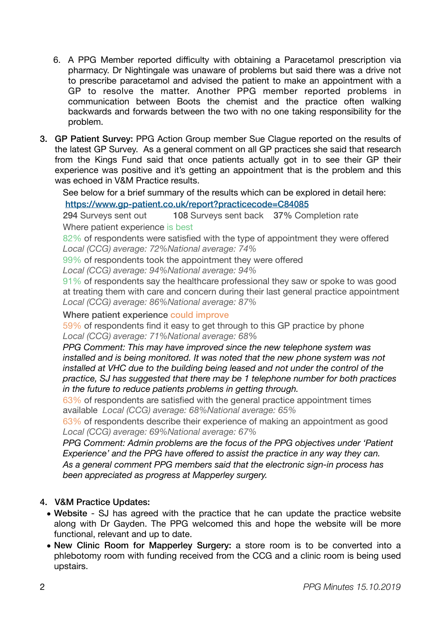- 6. A PPG Member reported difficulty with obtaining a Paracetamol prescription via pharmacy. Dr Nightingale was unaware of problems but said there was a drive not to prescribe paracetamol and advised the patient to make an appointment with a GP to resolve the matter. Another PPG member reported problems in communication between Boots the chemist and the practice often walking backwards and forwards between the two with no one taking responsibility for the problem.
- 3. GP Patient Survey: PPG Action Group member Sue Clague reported on the results of the latest GP Survey. As a general comment on all GP practices she said that research from the Kings Fund said that once patients actually got in to see their GP their experience was positive and it's getting an appointment that is the problem and this was echoed in V&M Practice results.

See below for a brief summary of the results which can be explored in detail here:

<https://www.gp-patient.co.uk/report?practicecode=C84085> 

294 Surveys sent out 108 Surveys sent back 37% Completion rate Where patient experience is best

82% of respondents were satisfied with the type of appointment they were offered *Local (CCG) average: 72%National average: 74%*

99% of respondents took the appointment they were offered

*Local (CCG) average: 94%National average: 94%*

91% of respondents say the healthcare professional they saw or spoke to was good at treating them with care and concern during their last general practice appointment *Local (CCG) average: 86%National average: 87%*

#### Where patient experience could improve

59% of respondents find it easy to get through to this GP practice by phone *Local (CCG) average: 71%National average: 68*%

*PPG Comment: This may have improved since the new telephone system was installed and is being monitored. It was noted that the new phone system was not installed at VHC due to the building being leased and not under the control of the practice, SJ has suggested that there may be 1 telephone number for both practices in the future to reduce patients problems in getting through.*

63% of respondents are satisfied with the general practice appointment times available *Local (CCG) average: 68%National average: 65%*

63% of respondents describe their experience of making an appointment as good *Local (CCG) average: 69%National average: 67%* 

*PPG Comment: Admin problems are the focus of the PPG objectives under 'Patient Experience' and the PPG have offered to assist the practice in any way they can. As a general comment PPG members said that the electronic sign-in process has been appreciated as progress at Mapperley surgery.*

## 4. V&M Practice Updates:

- Website SJ has agreed with the practice that he can update the practice website along with Dr Gayden. The PPG welcomed this and hope the website will be more functional, relevant and up to date.
- New Clinic Room for Mapperley Surgery: a store room is to be converted into a phlebotomy room with funding received from the CCG and a clinic room is being used upstairs.